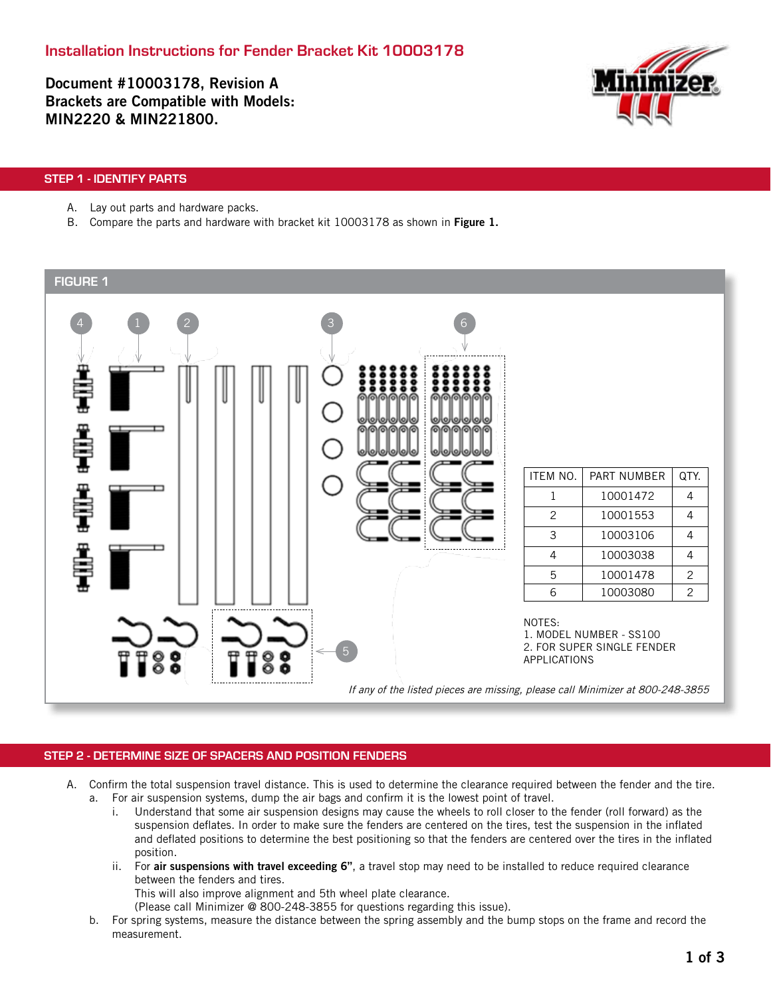Document #10003178, Revision A Brackets are Compatible with Models: MIN2220 & MIN221800.



## STEP 1 - IDENTIFY PARTS

- A. Lay out parts and hardware packs.
- B. Compare the parts and hardware with bracket kit 10003178 as shown in Figure 1.



## STEP 2 - DETERMINE SIZE OF SPACERS AND POSITION FENDERS

- A. Confirm the total suspension travel distance. This is used to determine the clearance required between the fender and the tire. a. For air suspension systems, dump the air bags and confirm it is the lowest point of travel.
	- i. Understand that some air suspension designs may cause the wheels to roll closer to the fender (roll forward) as the suspension deflates. In order to make sure the fenders are centered on the tires, test the suspension in the inflated and deflated positions to determine the best positioning so that the fenders are centered over the tires in the inflated position.
	- ii. For air suspensions with travel exceeding 6", a travel stop may need to be installed to reduce required clearance between the fenders and tires.

This will also improve alignment and 5th wheel plate clearance.

(Please call Minimizer @ 800-248-3855 for questions regarding this issue).

b. For spring systems, measure the distance between the spring assembly and the bump stops on the frame and record the measurement.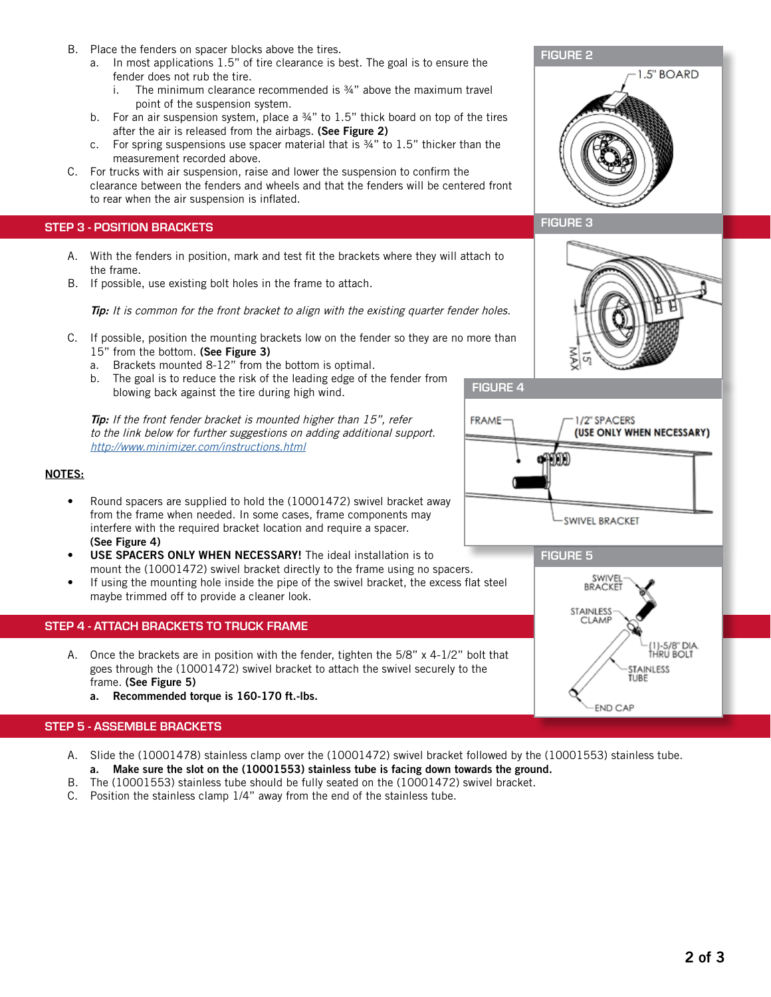- B. Place the fenders on spacer blocks above the tires.
	- a. In most applications 1.5" of tire clearance is best. The goal is to ensure the fender does not rub the tire.
		- i. The minimum clearance recommended is  $\frac{3}{4}$ " above the maximum travel point of the suspension system.
	- b. For an air suspension system, place a  $34"$  to  $1.5"$  thick board on top of the tires after the air is released from the airbags. (See Figure 2)
	- c. For spring suspensions use spacer material that is ¾" to 1.5" thicker than the measurement recorded above.
- C. For trucks with air suspension, raise and lower the suspension to confirm the clearance between the fenders and wheels and that the fenders will be centered front to rear when the air suspension is inflated.

## STEP 3 - POSITION BRACKETS

- A. With the fenders in position, mark and test fit the brackets where they will attach to the frame.
- B. If possible, use existing bolt holes in the frame to attach.

Tip: It is common for the front bracket to align with the existing quarter fender holes.

- C. If possible, position the mounting brackets low on the fender so they are no more than 15" from the bottom. (See Figure 3)
	- a. Brackets mounted 8-12" from the bottom is optimal.
	- b. The goal is to reduce the risk of the leading edge of the fender from blowing back against the tire during high wind.

Tip: If the front fender bracket is mounted higher than 15", refer to the link below for further suggestions on adding additional support. http://www.minimizer.com/instructions.html

## NOTES:

- Round spacers are supplied to hold the (10001472) swivel bracket away from the frame when needed. In some cases, frame components may interfere with the required bracket location and require a spacer. (See Figure 4)
- USE SPACERS ONLY WHEN NECESSARY! The ideal installation is to mount the (10001472) swivel bracket directly to the frame using no spacers.
- If using the mounting hole inside the pipe of the swivel bracket, the excess flat steel maybe trimmed off to provide a cleaner look.

## STEP 4 - ATTACH BRACKETS TO TRUCK FRAME

- A. Once the brackets are in position with the fender, tighten the 5/8" x 4-1/2" bolt that goes through the (10001472) swivel bracket to attach the swivel securely to the frame. (See Figure 5)
	- a. Recommended torque is 160-170 ft.-lbs.

## STEP 5 - ASSEMBLE BRACKETS

- A. Slide the (10001478) stainless clamp over the (10001472) swivel bracket followed by the (10001553) stainless tube. a. Make sure the slot on the (10001553) stainless tube is facing down towards the ground.
- B. The (10001553) stainless tube should be fully seated on the (10001472) swivel bracket.
- C. Position the stainless clamp 1/4" away from the end of the stainless tube.







FIGURE 4